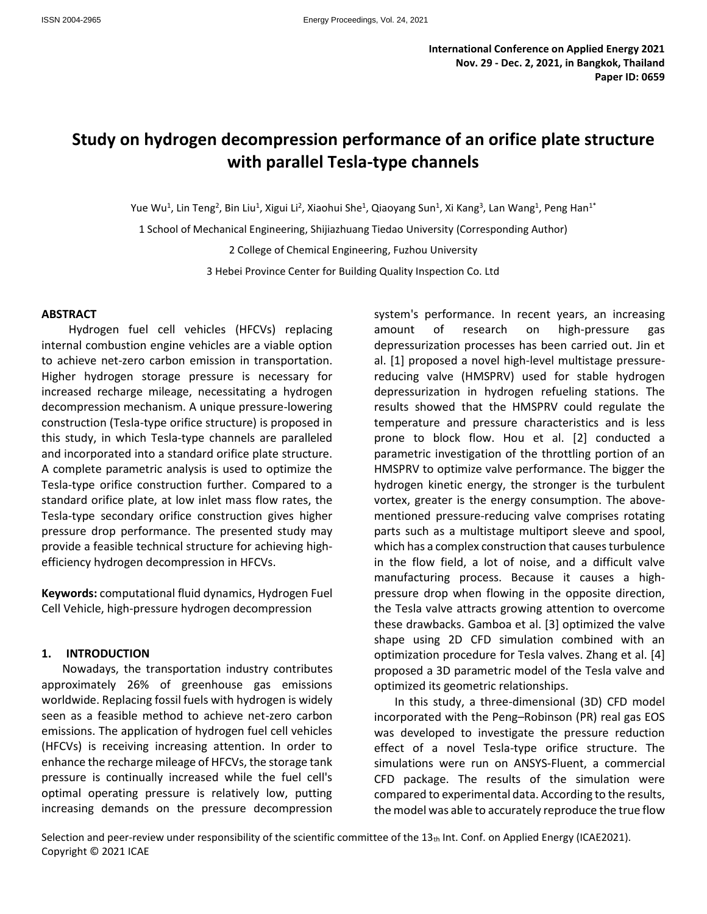# **Study on hydrogen decompression performance of an orifice plate structure with parallel Tesla-type channels**

Yue Wu<sup>1</sup>, Lin Teng<sup>2</sup>, Bin Liu<sup>1</sup>, Xigui Li<sup>2</sup>, Xiaohui She<sup>1</sup>, Qiaoyang Sun<sup>1</sup>, Xi Kang<sup>3</sup>, Lan Wang<sup>1</sup>, Peng Han<sup>1\*</sup>

1 School of Mechanical Engineering, Shijiazhuang Tiedao University (Corresponding Author)

2 College of Chemical Engineering, Fuzhou University

3 Hebei Province Center for Building Quality Inspection Co. Ltd

#### **ABSTRACT**

Hydrogen fuel cell vehicles (HFCVs) replacing internal combustion engine vehicles are a viable option to achieve net-zero carbon emission in transportation. Higher hydrogen storage pressure is necessary for increased recharge mileage, necessitating a hydrogen decompression mechanism. A unique pressure-lowering construction (Tesla-type orifice structure) is proposed in this study, in which Tesla-type channels are paralleled and incorporated into a standard orifice plate structure. A complete parametric analysis is used to optimize the Tesla-type orifice construction further. Compared to a standard orifice plate, at low inlet mass flow rates, the Tesla-type secondary orifice construction gives higher pressure drop performance. The presented study may provide a feasible technical structure for achieving highefficiency hydrogen decompression in HFCVs.

**Keywords:** computational fluid dynamics, Hydrogen Fuel Cell Vehicle, high-pressure hydrogen decompression

#### **1. INTRODUCTION**

Nowadays, the transportation industry contributes approximately 26% of greenhouse gas emissions worldwide. Replacing fossil fuels with hydrogen is widely seen as a feasible method to achieve net-zero carbon emissions. The application of hydrogen fuel cell vehicles (HFCVs) is receiving increasing attention. In order to enhance the recharge mileage of HFCVs, the storage tank pressure is continually increased while the fuel cell's optimal operating pressure is relatively low, putting increasing demands on the pressure decompression system's performance. In recent years, an increasing amount of research on high-pressure gas depressurization processes has been carried out. Jin et al. [1] proposed a novel high-level multistage pressurereducing valve (HMSPRV) used for stable hydrogen depressurization in hydrogen refueling stations. The results showed that the HMSPRV could regulate the temperature and pressure characteristics and is less prone to block flow. Hou et al. [2] conducted a parametric investigation of the throttling portion of an HMSPRV to optimize valve performance. The bigger the hydrogen kinetic energy, the stronger is the turbulent vortex, greater is the energy consumption. The abovementioned pressure-reducing valve comprises rotating parts such as a multistage multiport sleeve and spool, which has a complex construction that causes turbulence in the flow field, a lot of noise, and a difficult valve manufacturing process. Because it causes a highpressure drop when flowing in the opposite direction, the Tesla valve attracts growing attention to overcome these drawbacks. Gamboa et al. [3] optimized the valve shape using 2D CFD simulation combined with an optimization procedure for Tesla valves. Zhang et al. [4] proposed a 3D parametric model of the Tesla valve and optimized its geometric relationships.

In this study, a three-dimensional (3D) CFD model incorporated with the Peng–Robinson (PR) real gas EOS was developed to investigate the pressure reduction effect of a novel Tesla-type orifice structure. The simulations were run on ANSYS-Fluent, a commercial CFD package. The results of the simulation were compared to experimental data. According to the results, the model was able to accurately reproduce the true flow

Selection and peer-review under responsibility of the scientific committee of the  $13<sub>th</sub>$  Int. Conf. on Applied Energy (ICAE2021). Copyright © 2021 ICAE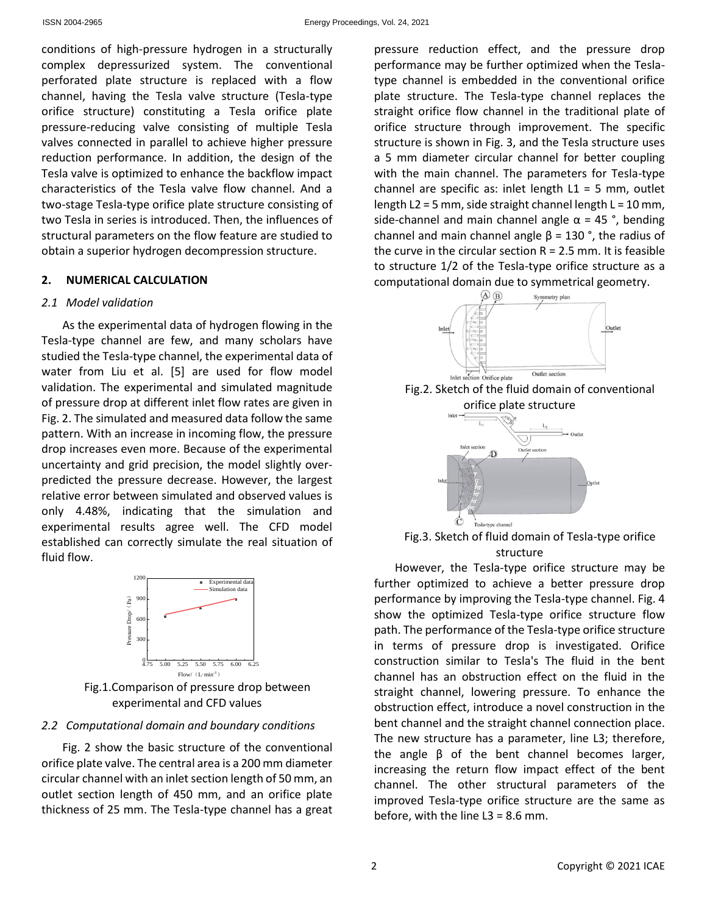conditions of high-pressure hydrogen in a structurally complex depressurized system. The conventional perforated plate structure is replaced with a flow channel, having the Tesla valve structure (Tesla-type orifice structure) constituting a Tesla orifice plate pressure-reducing valve consisting of multiple Tesla valves connected in parallel to achieve higher pressure reduction performance. In addition, the design of the Tesla valve is optimized to enhance the backflow impact characteristics of the Tesla valve flow channel. And a two-stage Tesla-type orifice plate structure consisting of two Tesla in series is introduced. Then, the influences of structural parameters on the flow feature are studied to obtain a superior hydrogen decompression structure.

## **2. NUMERICAL CALCULATION**

## *2.1 Model validation*

As the experimental data of hydrogen flowing in the Tesla-type channel are few, and many scholars have studied the Tesla-type channel, the experimental data of water from Liu et al. [5] are used for flow model validation. The experimental and simulated magnitude of pressure drop at different inlet flow rates are given in Fig. 2. The simulated and measured data follow the same pattern. With an increase in incoming flow, the pressure drop increases even more. Because of the experimental uncertainty and grid precision, the model slightly overpredicted the pressure decrease. However, the largest relative error between simulated and observed values is only 4.48%, indicating that the simulation and experimental results agree well. The CFD model established can correctly simulate the real situation of fluid flow.



Fig.1.Comparison of pressure drop between experimental and CFD values

## *2.2 Computational domain and boundary conditions*

Fig. 2 show the basic structure of the conventional orifice plate valve. The central area is a 200 mm diameter circular channel with an inlet section length of 50 mm, an outlet section length of 450 mm, and an orifice plate thickness of 25 mm. The Tesla-type channel has a great pressure reduction effect, and the pressure drop performance may be further optimized when the Teslatype channel is embedded in the conventional orifice plate structure. The Tesla-type channel replaces the straight orifice flow channel in the traditional plate of orifice structure through improvement. The specific structure is shown in Fig. 3, and the Tesla structure uses a 5 mm diameter circular channel for better coupling with the main channel. The parameters for Tesla-type channel are specific as: inlet length  $L1 = 5$  mm, outlet length  $L2 = 5$  mm, side straight channel length  $L = 10$  mm, side-channel and main channel angle  $\alpha$  = 45°, bending channel and main channel angle  $\beta$  = 130 °, the radius of the curve in the circular section  $R = 2.5$  mm. It is feasible to structure 1/2 of the Tesla-type orifice structure as a computational domain due to symmetrical geometry.







Fig.3. Sketch of fluid domain of Tesla-type orifice structure

However, the Tesla-type orifice structure may be further optimized to achieve a better pressure drop performance by improving the Tesla-type channel. Fig. 4 show the optimized Tesla-type orifice structure flow path. The performance of the Tesla-type orifice structure in terms of pressure drop is investigated. Orifice construction similar to Tesla's The fluid in the bent channel has an obstruction effect on the fluid in the straight channel, lowering pressure. To enhance the obstruction effect, introduce a novel construction in the bent channel and the straight channel connection place. The new structure has a parameter, line L3; therefore, the angle β of the bent channel becomes larger, increasing the return flow impact effect of the bent channel. The other structural parameters of the improved Tesla-type orifice structure are the same as before, with the line  $L3 = 8.6$  mm.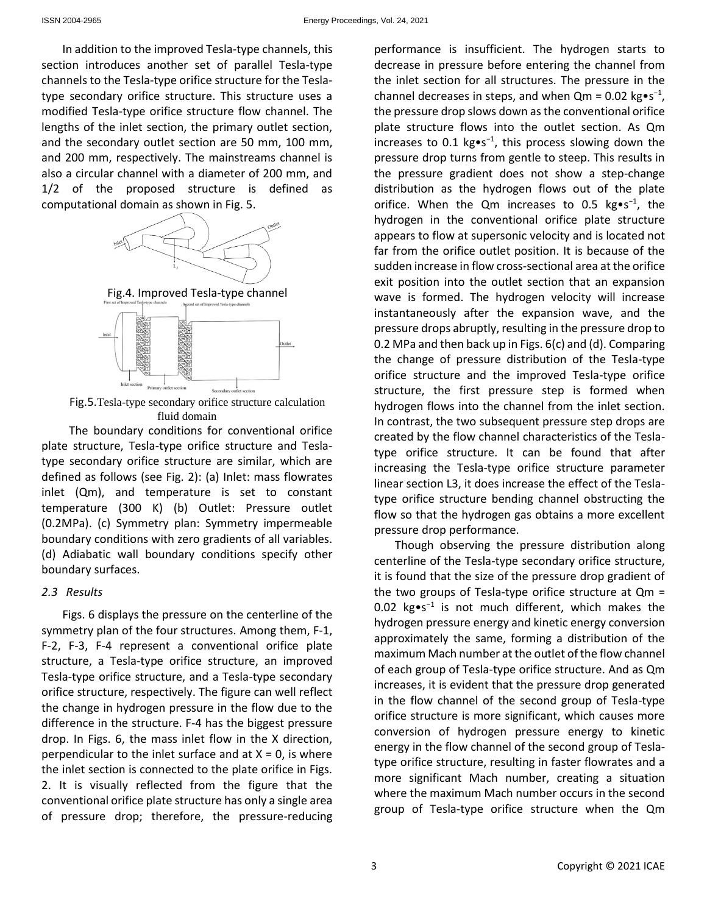In addition to the improved Tesla-type channels, this section introduces another set of parallel Tesla-type channels to the Tesla-type orifice structure for the Teslatype secondary orifice structure. This structure uses a modified Tesla-type orifice structure flow channel. The lengths of the inlet section, the primary outlet section, and the secondary outlet section are 50 mm, 100 mm, and 200 mm, respectively. The mainstreams channel is also a circular channel with a diameter of 200 mm, and 1/2 of the proposed structure is defined as computational domain as shown in Fig. 5.



Fig.4. Improved Tesla-type channel



Fig.5.Tesla-type secondary orifice structure calculation fluid domain

The boundary conditions for conventional orifice plate structure, Tesla-type orifice structure and Teslatype secondary orifice structure are similar, which are defined as follows (see Fig. 2): (a) Inlet: mass flowrates inlet (Qm), and temperature is set to constant temperature (300 K) (b) Outlet: Pressure outlet (0.2MPa). (c) Symmetry plan: Symmetry impermeable boundary conditions with zero gradients of all variables. (d) Adiabatic wall boundary conditions specify other boundary surfaces.

#### *2.3 Results*

Figs. 6 displays the pressure on the centerline of the symmetry plan of the four structures. Among them, F-1, F-2, F-3, F-4 represent a conventional orifice plate structure, a Tesla-type orifice structure, an improved Tesla-type orifice structure, and a Tesla-type secondary orifice structure, respectively. The figure can well reflect the change in hydrogen pressure in the flow due to the difference in the structure. F-4 has the biggest pressure drop. In Figs. 6, the mass inlet flow in the X direction, perpendicular to the inlet surface and at  $X = 0$ , is where the inlet section is connected to the plate orifice in Figs. 2. It is visually reflected from the figure that the conventional orifice plate structure has only a single area of pressure drop; therefore, the pressure-reducing

performance is insufficient. The hydrogen starts to decrease in pressure before entering the channel from the inlet section for all structures. The pressure in the channel decreases in steps, and when  $Qm = 0.02$  kg•s<sup>-1</sup>, the pressure drop slows down as the conventional orifice plate structure flows into the outlet section. As Qm increases to 0.1 kg•s<sup>−</sup><sup>1</sup> , this process slowing down the pressure drop turns from gentle to steep. This results in the pressure gradient does not show a step-change distribution as the hydrogen flows out of the plate orifice. When the Qm increases to 0.5 kg•s<sup>-1</sup>, the hydrogen in the conventional orifice plate structure appears to flow at supersonic velocity and is located not far from the orifice outlet position. It is because of the sudden increase in flow cross-sectional area at the orifice exit position into the outlet section that an expansion wave is formed. The hydrogen velocity will increase instantaneously after the expansion wave, and the pressure drops abruptly, resulting in the pressure drop to 0.2 MPa and then back up in Figs. 6(c) and (d). Comparing the change of pressure distribution of the Tesla-type orifice structure and the improved Tesla-type orifice structure, the first pressure step is formed when hydrogen flows into the channel from the inlet section. In contrast, the two subsequent pressure step drops are created by the flow channel characteristics of the Teslatype orifice structure. It can be found that after increasing the Tesla-type orifice structure parameter linear section L3, it does increase the effect of the Teslatype orifice structure bending channel obstructing the flow so that the hydrogen gas obtains a more excellent pressure drop performance.

Though observing the pressure distribution along centerline of the Tesla-type secondary orifice structure, it is found that the size of the pressure drop gradient of the two groups of Tesla-type orifice structure at Qm = 0.02 kg•s<sup>-1</sup> is not much different, which makes the hydrogen pressure energy and kinetic energy conversion approximately the same, forming a distribution of the maximum Mach number at the outlet of the flow channel of each group of Tesla-type orifice structure. And as Qm increases, it is evident that the pressure drop generated in the flow channel of the second group of Tesla-type orifice structure is more significant, which causes more conversion of hydrogen pressure energy to kinetic energy in the flow channel of the second group of Teslatype orifice structure, resulting in faster flowrates and a more significant Mach number, creating a situation where the maximum Mach number occurs in the second group of Tesla-type orifice structure when the Qm